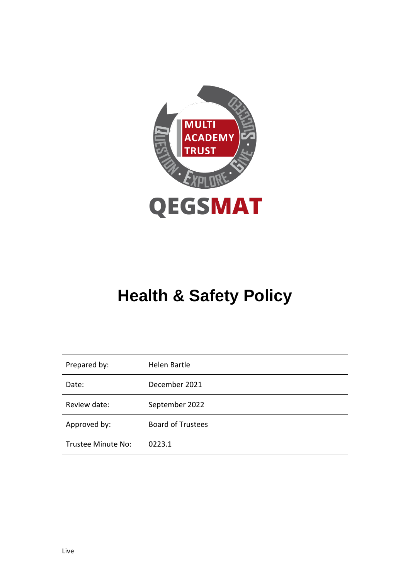

# **Health & Safety Policy**

| Prepared by:       | Helen Bartle             |  |
|--------------------|--------------------------|--|
| Date:              | December 2021            |  |
| Review date:       | September 2022           |  |
| Approved by:       | <b>Board of Trustees</b> |  |
| Trustee Minute No: | 0223.1                   |  |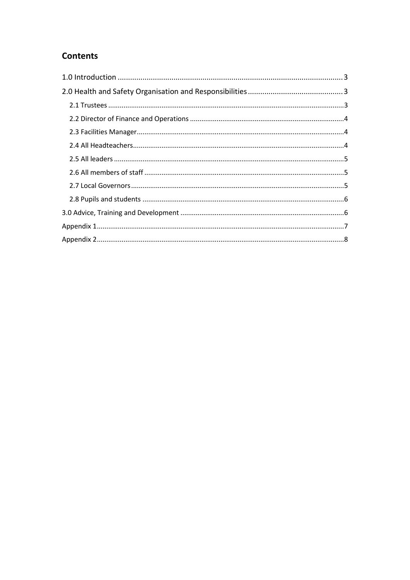# **Contents**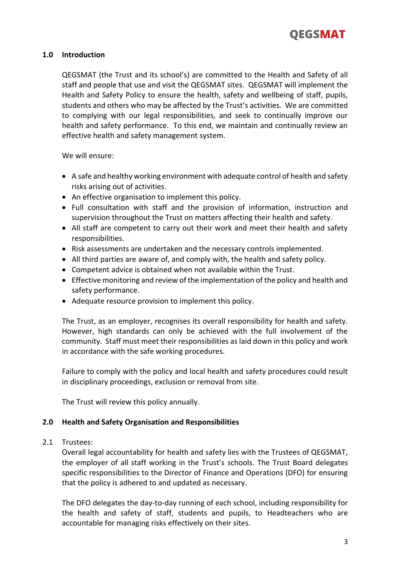

#### **1.0 Introduction**

QEGSMAT (the Trust and its school's) are committed to the Health and Safety of all staff and people that use and visit the QEGSMAT sites. QEGSMAT will implement the Health and Safety Policy to ensure the health, safety and wellbeing of staff, pupils, students and others who may be affected by the Trust's activities. We are committed to complying with our legal responsibilities, and seek to continually improve our health and safety performance. To this end, we maintain and continually review an effective health and safety management system.

We will ensure:

- A safe and healthy working environment with adequate control of health and safety risks arising out of activities.
- An effective organisation to implement this policy.
- Full consultation with staff and the provision of information, instruction and supervision throughout the Trust on matters affecting their health and safety.
- All staff are competent to carry out their work and meet their health and safety responsibilities.
- Risk assessments are undertaken and the necessary controls implemented.
- All third parties are aware of, and comply with, the health and safety policy.
- Competent advice is obtained when not available within the Trust.
- Effective monitoring and review of the implementation of the policy and health and safety performance.
- Adequate resource provision to implement this policy.

The Trust, as an employer, recognises its overall responsibility for health and safety. However, high standards can only be achieved with the full involvement of the community. Staff must meet their responsibilities as laid down in this policy and work in accordance with the safe working procedures.

Failure to comply with the policy and local health and safety procedures could result in disciplinary proceedings, exclusion or removal from site.

The Trust will review this policy annually.

#### **2.0 Health and Safety Organisation and Responsibilities**

2.1 Trustees:

Overall legal accountability for health and safety lies with the Trustees of QEGSMAT, the employer of all staff working in the Trust's schools. The Trust Board delegates specific responsibilities to the Director of Finance and Operations (DFO) for ensuring that the policy is adhered to and updated as necessary.

The DFO delegates the day-to-day running of each school, including responsibility for the health and safety of staff, students and pupils, to Headteachers who are accountable for managing risks effectively on their sites.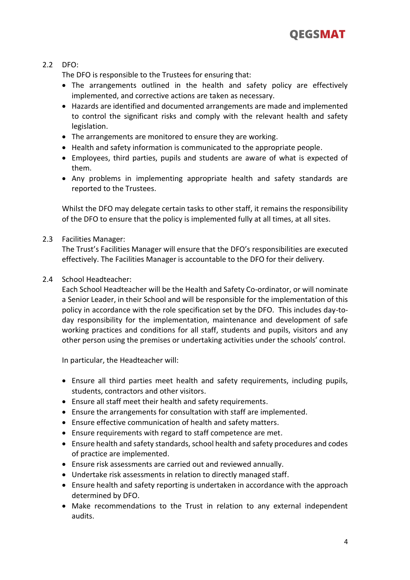

## 2.2 DFO:

The DFO is responsible to the Trustees for ensuring that:

- The arrangements outlined in the health and safety policy are effectively implemented, and corrective actions are taken as necessary.
- Hazards are identified and documented arrangements are made and implemented to control the significant risks and comply with the relevant health and safety legislation.
- The arrangements are monitored to ensure they are working.
- Health and safety information is communicated to the appropriate people.
- Employees, third parties, pupils and students are aware of what is expected of them.
- Any problems in implementing appropriate health and safety standards are reported to the Trustees.

Whilst the DFO may delegate certain tasks to other staff, it remains the responsibility of the DFO to ensure that the policy is implemented fully at all times, at all sites.

#### 2.3 Facilities Manager:

The Trust's Facilities Manager will ensure that the DFO's responsibilities are executed effectively. The Facilities Manager is accountable to the DFO for their delivery.

#### 2.4 School Headteacher:

Each School Headteacher will be the Health and Safety Co-ordinator, or will nominate a Senior Leader, in their School and will be responsible for the implementation of this policy in accordance with the role specification set by the DFO. This includes day-today responsibility for the implementation, maintenance and development of safe working practices and conditions for all staff, students and pupils, visitors and any other person using the premises or undertaking activities under the schools' control.

In particular, the Headteacher will:

- Ensure all third parties meet health and safety requirements, including pupils, students, contractors and other visitors.
- Ensure all staff meet their health and safety requirements.
- Ensure the arrangements for consultation with staff are implemented.
- Ensure effective communication of health and safety matters.
- Ensure requirements with regard to staff competence are met.
- Ensure health and safety standards, school health and safety procedures and codes of practice are implemented.
- Ensure risk assessments are carried out and reviewed annually.
- Undertake risk assessments in relation to directly managed staff.
- Ensure health and safety reporting is undertaken in accordance with the approach determined by DFO.
- Make recommendations to the Trust in relation to any external independent audits.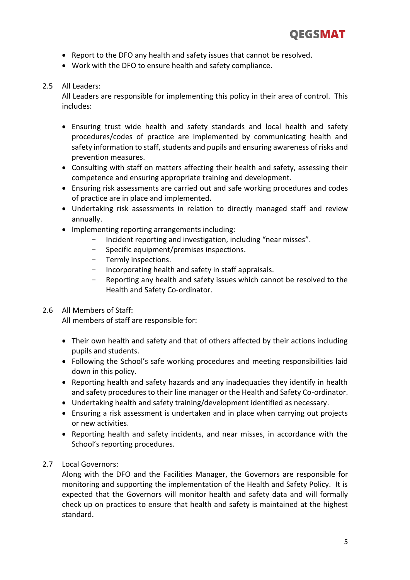- Report to the DFO any health and safety issues that cannot be resolved.
- Work with the DFO to ensure health and safety compliance.

## 2.5 All Leaders:

All Leaders are responsible for implementing this policy in their area of control. This includes:

- Ensuring trust wide health and safety standards and local health and safety procedures/codes of practice are implemented by communicating health and safety information to staff, students and pupils and ensuring awareness of risks and prevention measures.
- Consulting with staff on matters affecting their health and safety, assessing their competence and ensuring appropriate training and development.
- Ensuring risk assessments are carried out and safe working procedures and codes of practice are in place and implemented.
- Undertaking risk assessments in relation to directly managed staff and review annually.
- Implementing reporting arrangements including:
	- Incident reporting and investigation, including "near misses".
		- Specific equipment/premises inspections.
		- Termly inspections.
		- Incorporating health and safety in staff appraisals.
		- Reporting any health and safety issues which cannot be resolved to the Health and Safety Co-ordinator.

## 2.6 All Members of Staff:

All members of staff are responsible for:

- Their own health and safety and that of others affected by their actions including pupils and students.
- Following the School's safe working procedures and meeting responsibilities laid down in this policy.
- Reporting health and safety hazards and any inadequacies they identify in health and safety procedures to their line manager or the Health and Safety Co-ordinator.
- Undertaking health and safety training/development identified as necessary.
- Ensuring a risk assessment is undertaken and in place when carrying out projects or new activities.
- Reporting health and safety incidents, and near misses, in accordance with the School's reporting procedures.

## 2.7 Local Governors:

Along with the DFO and the Facilities Manager, the Governors are responsible for monitoring and supporting the implementation of the Health and Safety Policy. It is expected that the Governors will monitor health and safety data and will formally check up on practices to ensure that health and safety is maintained at the highest standard.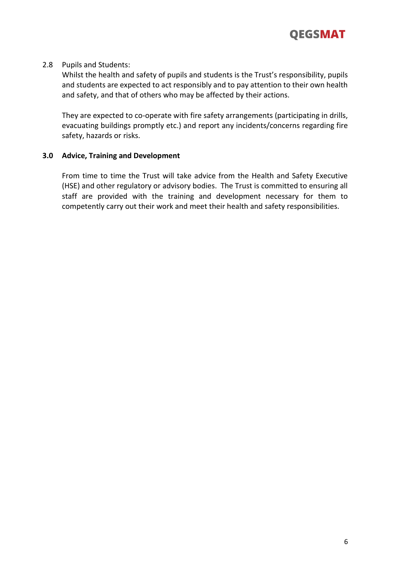

#### 2.8 Pupils and Students:

Whilst the health and safety of pupils and students is the Trust's responsibility, pupils and students are expected to act responsibly and to pay attention to their own health and safety, and that of others who may be affected by their actions.

They are expected to co-operate with fire safety arrangements (participating in drills, evacuating buildings promptly etc.) and report any incidents/concerns regarding fire safety, hazards or risks.

### **3.0 Advice, Training and Development**

From time to time the Trust will take advice from the Health and Safety Executive (HSE) and other regulatory or advisory bodies. The Trust is committed to ensuring all staff are provided with the training and development necessary for them to competently carry out their work and meet their health and safety responsibilities.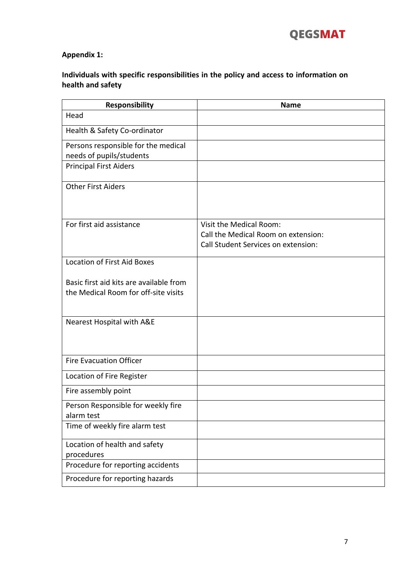

## **Appendix 1:**

# **Individuals with specific responsibilities in the policy and access to information on health and safety**

| <b>Responsibility</b>                   | <b>Name</b>                         |
|-----------------------------------------|-------------------------------------|
| Head                                    |                                     |
| Health & Safety Co-ordinator            |                                     |
| Persons responsible for the medical     |                                     |
| needs of pupils/students                |                                     |
| <b>Principal First Aiders</b>           |                                     |
| <b>Other First Aiders</b>               |                                     |
| For first aid assistance                | Visit the Medical Room:             |
|                                         | Call the Medical Room on extension: |
|                                         | Call Student Services on extension: |
| <b>Location of First Aid Boxes</b>      |                                     |
|                                         |                                     |
| Basic first aid kits are available from |                                     |
| the Medical Room for off-site visits    |                                     |
| Nearest Hospital with A&E               |                                     |
| <b>Fire Evacuation Officer</b>          |                                     |
| Location of Fire Register               |                                     |
| Fire assembly point                     |                                     |
| Person Responsible for weekly fire      |                                     |
| alarm test                              |                                     |
| Time of weekly fire alarm test          |                                     |
| Location of health and safety           |                                     |
| procedures                              |                                     |
| Procedure for reporting accidents       |                                     |
| Procedure for reporting hazards         |                                     |